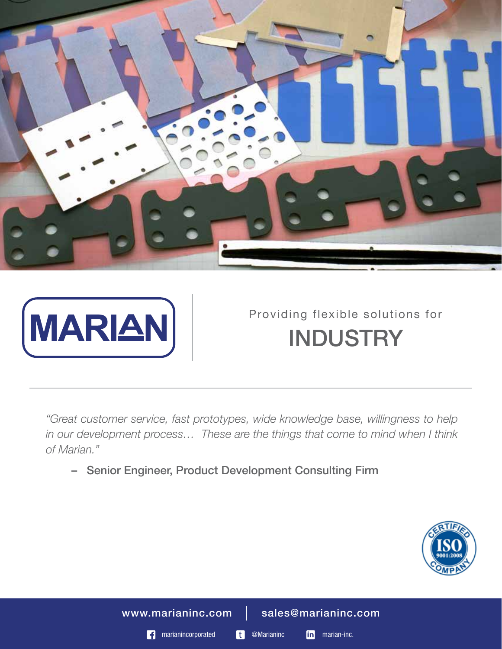



# Providing flexible solutions for **INDUSTRY**

*"Great customer service, fast prototypes, wide knowledge base, willingness to help in our development process… These are the things that come to mind when I think of Marian."*

– Senior Engineer, Product Development Consulting Firm



www.marianinc.com | sales@marianinc.com

**f** marianincorporated **t** @Marianinc **in** marian-inc.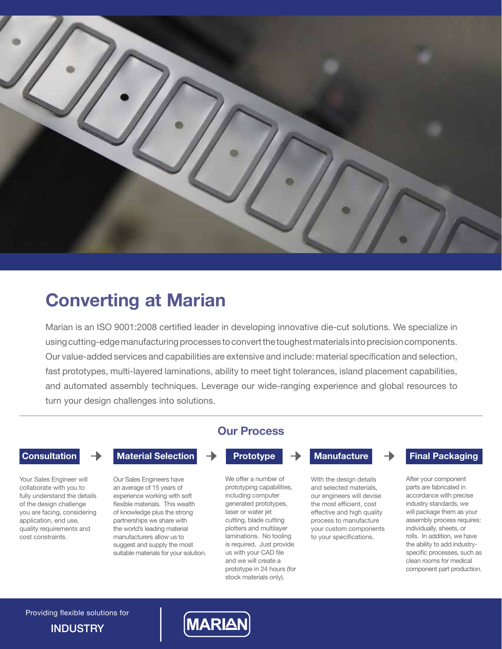

## **Converting at Marian**

Marian is an ISO 9001:2008 certified leader in developing innovative die-cut solutions. We specialize in using cutting-edge manufacturing processes to convert the toughest materials into precision components. Our value-added services and capabilities are extensive and include: material specification and selection, fast prototypes, multi-layered laminations, ability to meet tight tolerances, island placement capabilities, and automated assembly techniques. Leverage our wide-ranging experience and global resources to turn your design challenges into solutions.

application, end use,

cost constraints.

 **Consultation** → **Material Selection** → **Prototype** → **Manufacture** → **Final Packaging** 

Your Sales Engineer will collaborate with you to fully understand the details of the design challenge you are facing, considering quality requirements and Our Sales Engineers have an average of 15 years of experience working with soft flexible materials. This wealth of knowledge plus the strong partnerships we share with the world's leading material manufacturers allow us to suggest and supply the most suitable materials for your solution.

### **Our Process**

We offer a number of prototyping capabilities, including computer generated prototypes, laser or water jet cutting, blade cutting plotters and multilayer laminations. No tooling is required. Just provide us with your CAD file and we will create a prototype in 24 hours (for stock materials only).

With the design details and selected materials, our engineers will devise the most efficient, cost effective and high quality process to manufacture your custom components to your specifications.

After your component parts are fabricated in accordance with precise industry standards, we will package them as your assembly process requires: individually, sheets, or rolls. In addition, we have the ability to add industryspecific processes, such as clean rooms for medical component part production.

**INDUSTRY** Providing flexible solutions for

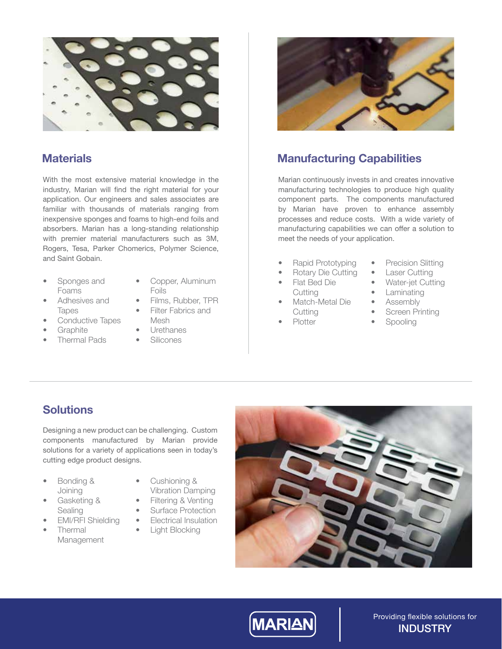

### **Materials**

With the most extensive material knowledge in the industry, Marian will find the right material for your application. Our engineers and sales associates are familiar with thousands of materials ranging from inexpensive sponges and foams to high-end foils and absorbers. Marian has a long-standing relationship with premier material manufacturers such as 3M, Rogers, Tesa, Parker Chomerics, Polymer Science, and Saint Gobain.

- Sponges and Foams
- Copper, Aluminum Foils
- Adhesives and Tapes
- Conductive Tapes
- **Graphite**
- Thermal Pads
- Films, Rubber, TPR Filter Fabrics and
- Mesh • Urethanes
	- Silicones
- 



### **Manufacturing Capabilities**

Marian continuously invests in and creates innovative manufacturing technologies to produce high quality component parts. The components manufactured by Marian have proven to enhance assembly processes and reduce costs. With a wide variety of manufacturing capabilities we can offer a solution to meet the needs of your application.

- Rapid Prototyping
- Rotary Die Cutting
- Flat Bed Die **Cutting**
- Match-Metal Die **Cutting**
- Plotter
- Precision Slitting
- **Laser Cutting**
- Water-jet Cutting
- **Laminating**
- Assembly
- **Screen Printing**
- Spooling

### **Solutions**

Designing a new product can be challenging. Custom components manufactured by Marian provide solutions for a variety of applications seen in today's cutting edge product designs.

- Bonding & Joining
- Gasketing & Sealing
- EMI/RFI Shielding
- Thermal Management
- Cushioning & Vibration Damping
- Filtering & Venting
- **Surface Protection**
- Electrical Insulation
- Light Blocking





Providing flexible solutions for **INDUSTRY**